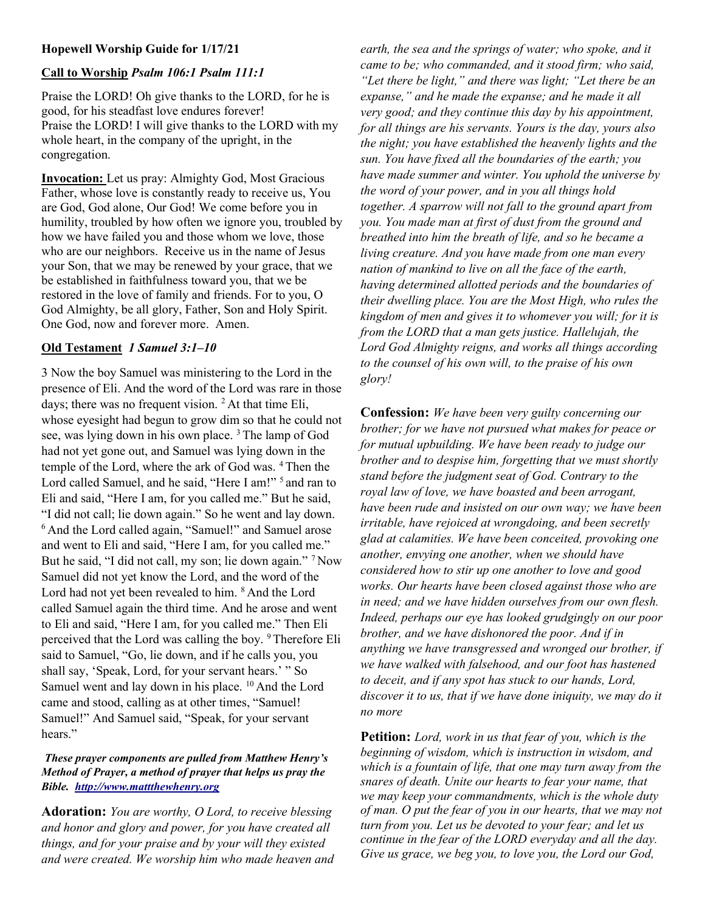# Hopewell Worship Guide for 1/17/21

# Call to Worship Psalm 106:1 Psalm 111:1

Praise the LORD! Oh give thanks to the LORD, for he is good, for his steadfast love endures forever! Praise the LORD! I will give thanks to the LORD with my whole heart, in the company of the upright, in the congregation.

Invocation: Let us pray: Almighty God, Most Gracious Father, whose love is constantly ready to receive us, You are God, God alone, Our God! We come before you in humility, troubled by how often we ignore you, troubled by how we have failed you and those whom we love, those who are our neighbors. Receive us in the name of Jesus your Son, that we may be renewed by your grace, that we be established in faithfulness toward you, that we be restored in the love of family and friends. For to you, O God Almighty, be all glory, Father, Son and Holy Spirit. One God, now and forever more. Amen.

### Old Testament 1 Samuel 3:1–10

3 Now the boy Samuel was ministering to the Lord in the presence of Eli. And the word of the Lord was rare in those days; there was no frequent vision.  $2$  At that time Eli, whose eyesight had begun to grow dim so that he could not see, was lying down in his own place. <sup>3</sup>The lamp of God had not yet gone out, and Samuel was lying down in the temple of the Lord, where the ark of God was. <sup>4</sup>Then the Lord called Samuel, and he said, "Here I am!" <sup>5</sup> and ran to Eli and said, "Here I am, for you called me." But he said, "I did not call; lie down again." So he went and lay down. <sup>6</sup> And the Lord called again, "Samuel!" and Samuel arose and went to Eli and said, "Here I am, for you called me." But he said, "I did not call, my son; lie down again." <sup>7</sup> Now Samuel did not yet know the Lord, and the word of the Lord had not yet been revealed to him. <sup>8</sup> And the Lord called Samuel again the third time. And he arose and went to Eli and said, "Here I am, for you called me." Then Eli perceived that the Lord was calling the boy. <sup>9</sup>Therefore Eli said to Samuel, "Go, lie down, and if he calls you, you shall say, 'Speak, Lord, for your servant hears.' " So Samuel went and lay down in his place. <sup>10</sup> And the Lord came and stood, calling as at other times, "Samuel! Samuel!" And Samuel said, "Speak, for your servant hears."

#### These prayer components are pulled from Matthew Henry's Method of Prayer, a method of prayer that helps us pray the Bible. http://www.mattthewhenry.org

Adoration: You are worthy, O Lord, to receive blessing and honor and glory and power, for you have created all things, and for your praise and by your will they existed and were created. We worship him who made heaven and

earth, the sea and the springs of water; who spoke, and it came to be; who commanded, and it stood firm; who said, "Let there be light," and there was light; "Let there be an expanse," and he made the expanse; and he made it all very good; and they continue this day by his appointment, for all things are his servants. Yours is the day, yours also the night; you have established the heavenly lights and the sun. You have fixed all the boundaries of the earth; you have made summer and winter. You uphold the universe by the word of your power, and in you all things hold together. A sparrow will not fall to the ground apart from you. You made man at first of dust from the ground and breathed into him the breath of life, and so he became a living creature. And you have made from one man every nation of mankind to live on all the face of the earth, having determined allotted periods and the boundaries of their dwelling place. You are the Most High, who rules the kingdom of men and gives it to whomever you will; for it is from the LORD that a man gets justice. Hallelujah, the Lord God Almighty reigns, and works all things according to the counsel of his own will, to the praise of his own glory!

Confession: We have been very guilty concerning our brother; for we have not pursued what makes for peace or for mutual upbuilding. We have been ready to judge our brother and to despise him, forgetting that we must shortly stand before the judgment seat of God. Contrary to the royal law of love, we have boasted and been arrogant, have been rude and insisted on our own way; we have been irritable, have rejoiced at wrongdoing, and been secretly glad at calamities. We have been conceited, provoking one another, envying one another, when we should have considered how to stir up one another to love and good works. Our hearts have been closed against those who are in need; and we have hidden ourselves from our own flesh. Indeed, perhaps our eye has looked grudgingly on our poor brother, and we have dishonored the poor. And if in anything we have transgressed and wronged our brother, if we have walked with falsehood, and our foot has hastened to deceit, and if any spot has stuck to our hands, Lord, discover it to us, that if we have done iniquity, we may do it no more

**Petition:** Lord, work in us that fear of you, which is the beginning of wisdom, which is instruction in wisdom, and which is a fountain of life, that one may turn away from the snares of death. Unite our hearts to fear your name, that we may keep your commandments, which is the whole duty of man. O put the fear of you in our hearts, that we may not turn from you. Let us be devoted to your fear; and let us continue in the fear of the LORD everyday and all the day. Give us grace, we beg you, to love you, the Lord our God,